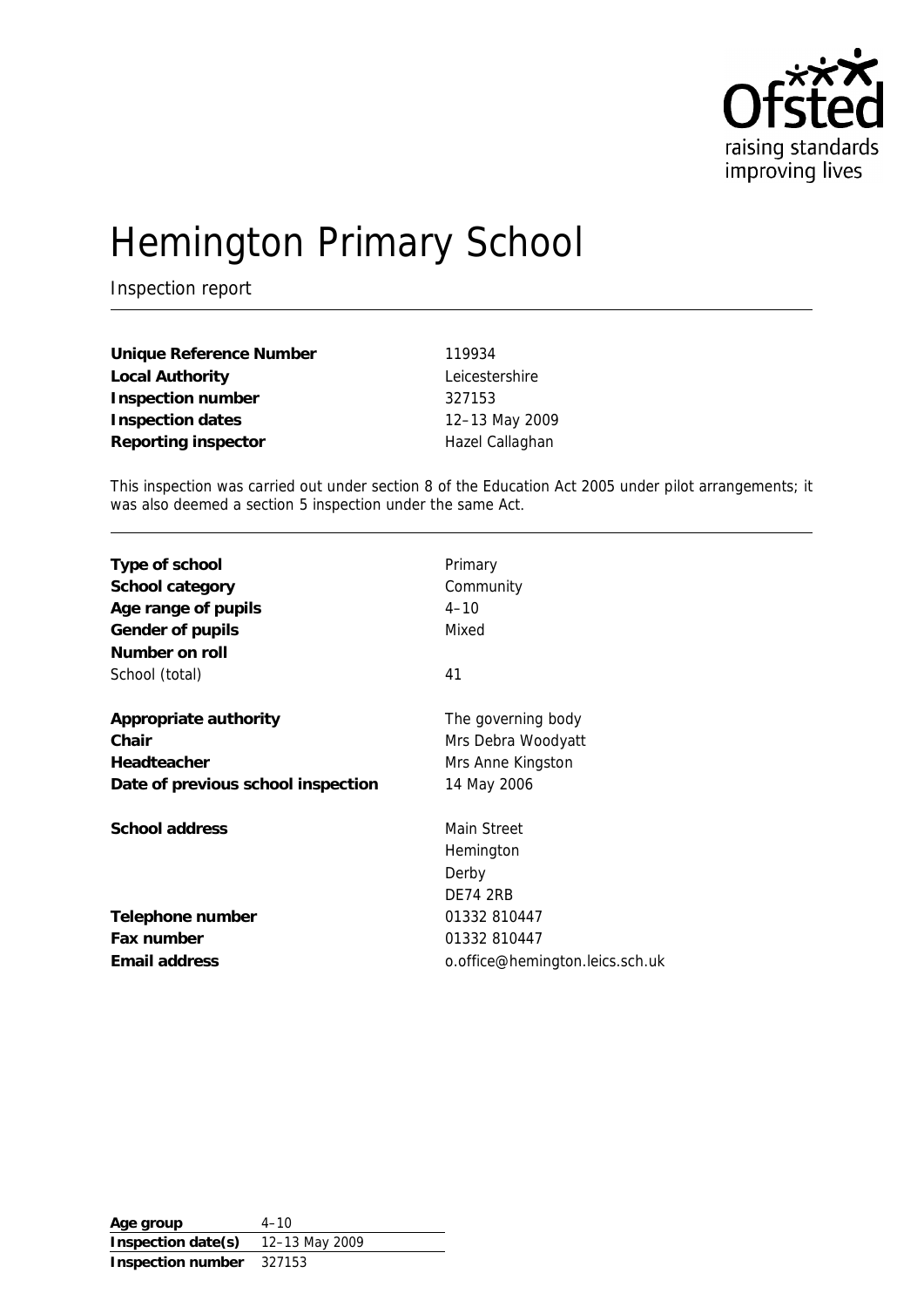

# Hemington Primary School

Inspection report

| Unique Reference Number | 119934          |
|-------------------------|-----------------|
| Local Authority         | Leicestershire  |
| Inspection number       | 327153          |
| Inspection dates        | 12-13 May 2009  |
| Reporting inspector     | Hazel Callaghan |

This inspection was carried out under section 8 of the Education Act 2005 under pilot arrangements; it was also deemed a section 5 inspection under the same Act.

| Type of school                     | Primary                         |
|------------------------------------|---------------------------------|
| School category                    | Community                       |
| Age range of pupils                | $4 - 10$                        |
| Gender of pupils                   | Mixed                           |
| Number on roll                     |                                 |
| School (total)                     | 41                              |
| Appropriate authority              | The governing body              |
| Chair                              | Mrs Debra Woodyatt              |
| Headteacher                        | Mrs Anne Kingston               |
| Date of previous school inspection | 14 May 2006                     |
| School address                     | Main Street                     |
|                                    | Hemington                       |
|                                    | Derby                           |
|                                    | <b>DE74 2RB</b>                 |
| Telephone number                   | 01332 810447                    |
| Fax number                         | 01332 810447                    |
| Email address                      | o.office@hemington.leics.sch.uk |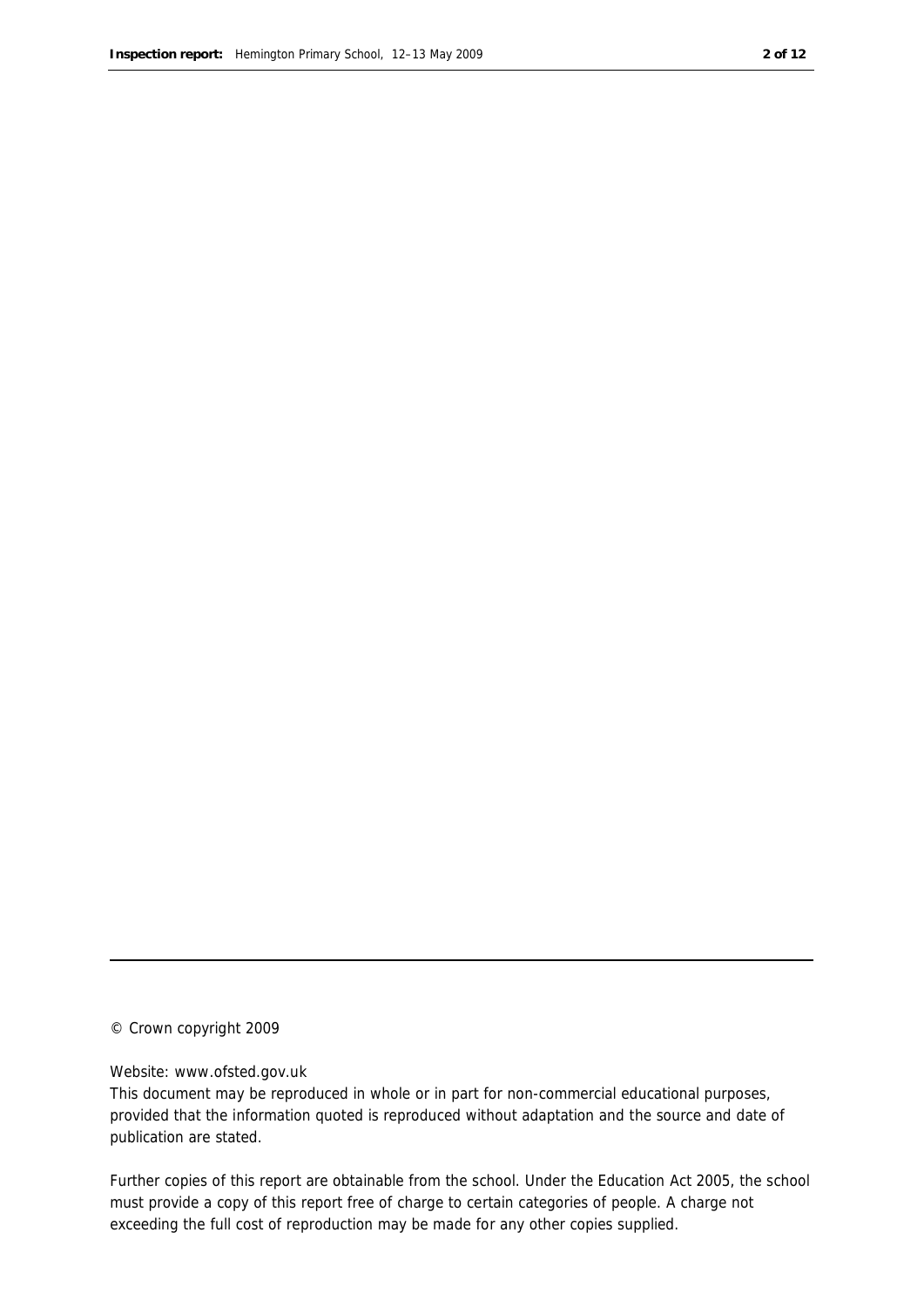#### © Crown copyright 2009

#### Website: www.ofsted.gov.uk

This document may be reproduced in whole or in part for non-commercial educational purposes, provided that the information quoted is reproduced without adaptation and the source and date of publication are stated.

Further copies of this report are obtainable from the school. Under the Education Act 2005, the school must provide a copy of this report free of charge to certain categories of people. A charge not exceeding the full cost of reproduction may be made for any other copies supplied.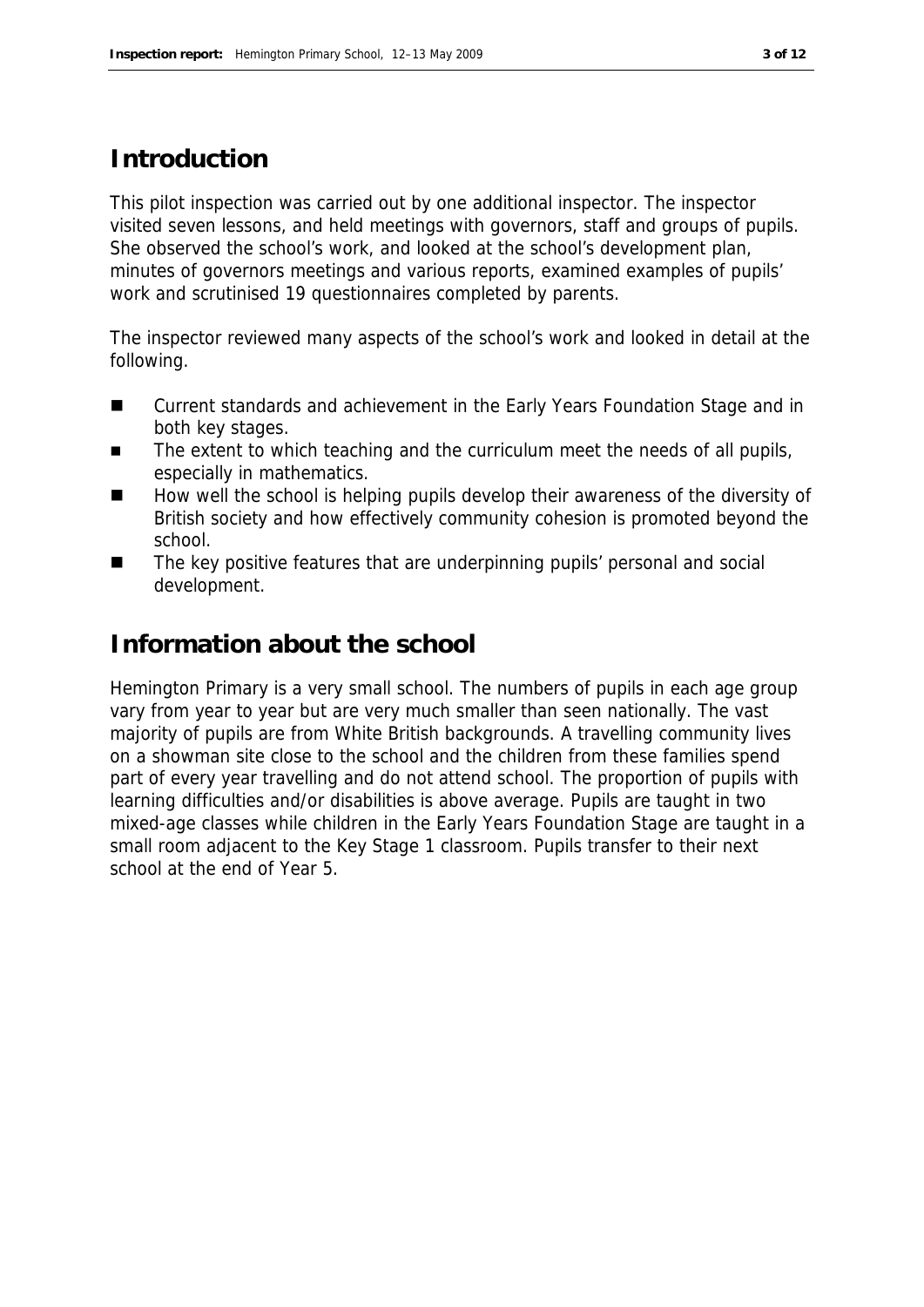#### **Introduction**

This pilot inspection was carried out by one additional inspector. The inspector visited seven lessons, and held meetings with governors, staff and groups of pupils. She observed the school's work, and looked at the school's development plan, minutes of governors meetings and various reports, examined examples of pupils' work and scrutinised 19 questionnaires completed by parents.

The inspector reviewed many aspects of the school's work and looked in detail at the following.

- Current standards and achievement in the Early Years Foundation Stage and in both key stages.
- The extent to which teaching and the curriculum meet the needs of all pupils, especially in mathematics.
- How well the school is helping pupils develop their awareness of the diversity of British society and how effectively community cohesion is promoted beyond the school.
- The key positive features that are underpinning pupils' personal and social development.

#### **Information about the school**

Hemington Primary is a very small school. The numbers of pupils in each age group vary from year to year but are very much smaller than seen nationally. The vast majority of pupils are from White British backgrounds. A travelling community lives on a showman site close to the school and the children from these families spend part of every year travelling and do not attend school. The proportion of pupils with learning difficulties and/or disabilities is above average. Pupils are taught in two mixed-age classes while children in the Early Years Foundation Stage are taught in a small room adjacent to the Key Stage 1 classroom. Pupils transfer to their next school at the end of Year 5.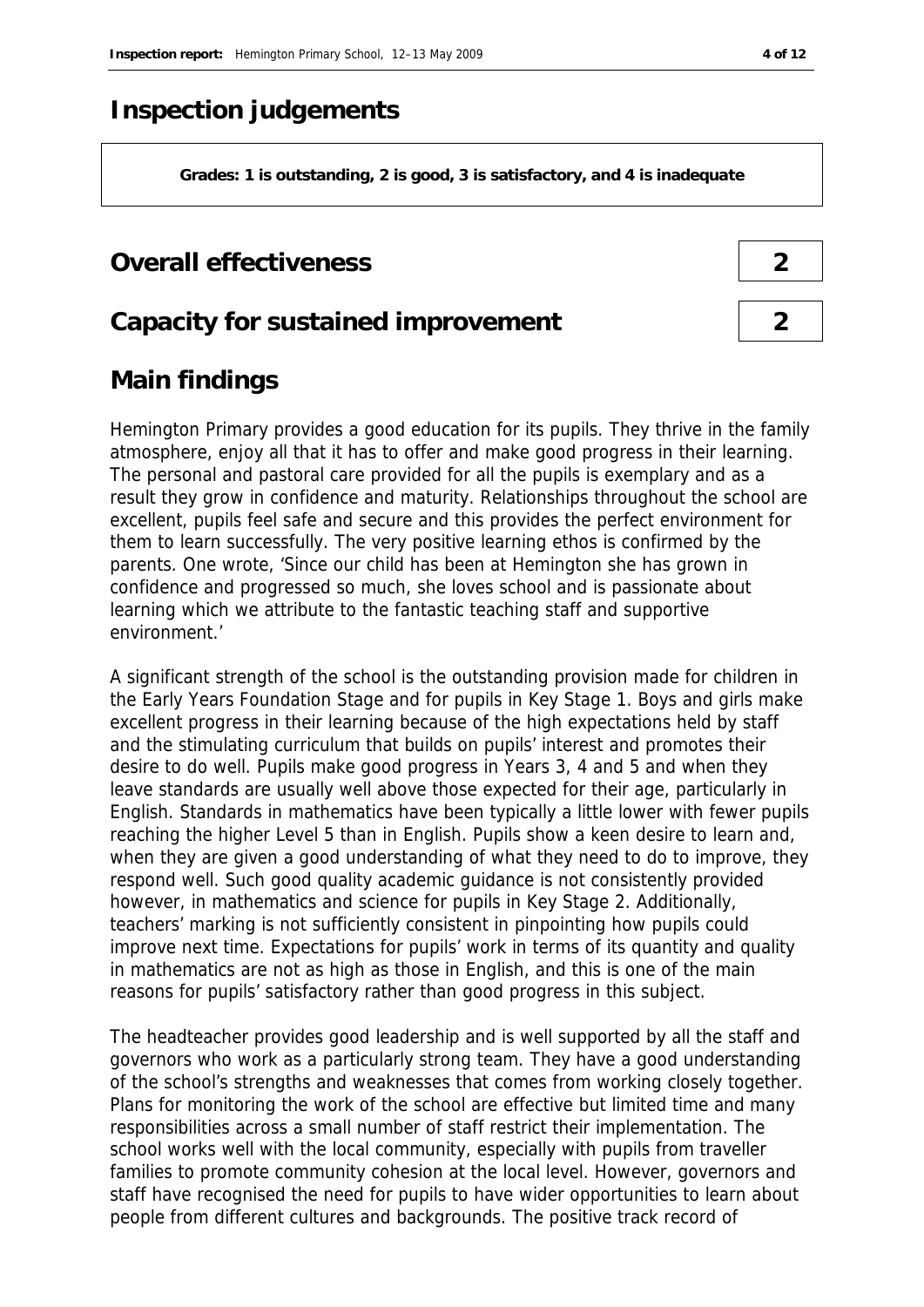#### **Inspection judgements**

**Grades: 1 is outstanding, 2 is good, 3 is satisfactory, and 4 is inadequate**

#### **Overall effectiveness 2**

#### **Capacity for sustained improvement 2**

### **Main findings**

Hemington Primary provides a good education for its pupils. They thrive in the family atmosphere, enjoy all that it has to offer and make good progress in their learning. The personal and pastoral care provided for all the pupils is exemplary and as a result they grow in confidence and maturity. Relationships throughout the school are excellent, pupils feel safe and secure and this provides the perfect environment for them to learn successfully. The very positive learning ethos is confirmed by the parents. One wrote, 'Since our child has been at Hemington she has grown in confidence and progressed so much, she loves school and is passionate about learning which we attribute to the fantastic teaching staff and supportive environment.'

A significant strength of the school is the outstanding provision made for children in the Early Years Foundation Stage and for pupils in Key Stage 1. Boys and girls make excellent progress in their learning because of the high expectations held by staff and the stimulating curriculum that builds on pupils' interest and promotes their desire to do well. Pupils make good progress in Years 3, 4 and 5 and when they leave standards are usually well above those expected for their age, particularly in English. Standards in mathematics have been typically a little lower with fewer pupils reaching the higher Level 5 than in English. Pupils show a keen desire to learn and, when they are given a good understanding of what they need to do to improve, they respond well. Such good quality academic guidance is not consistently provided however, in mathematics and science for pupils in Key Stage 2. Additionally, teachers' marking is not sufficiently consistent in pinpointing how pupils could improve next time. Expectations for pupils' work in terms of its quantity and quality in mathematics are not as high as those in English, and this is one of the main reasons for pupils' satisfactory rather than good progress in this subject.

The headteacher provides good leadership and is well supported by all the staff and governors who work as a particularly strong team. They have a good understanding of the school's strengths and weaknesses that comes from working closely together. Plans for monitoring the work of the school are effective but limited time and many responsibilities across a small number of staff restrict their implementation. The school works well with the local community, especially with pupils from traveller families to promote community cohesion at the local level. However, governors and staff have recognised the need for pupils to have wider opportunities to learn about people from different cultures and backgrounds. The positive track record of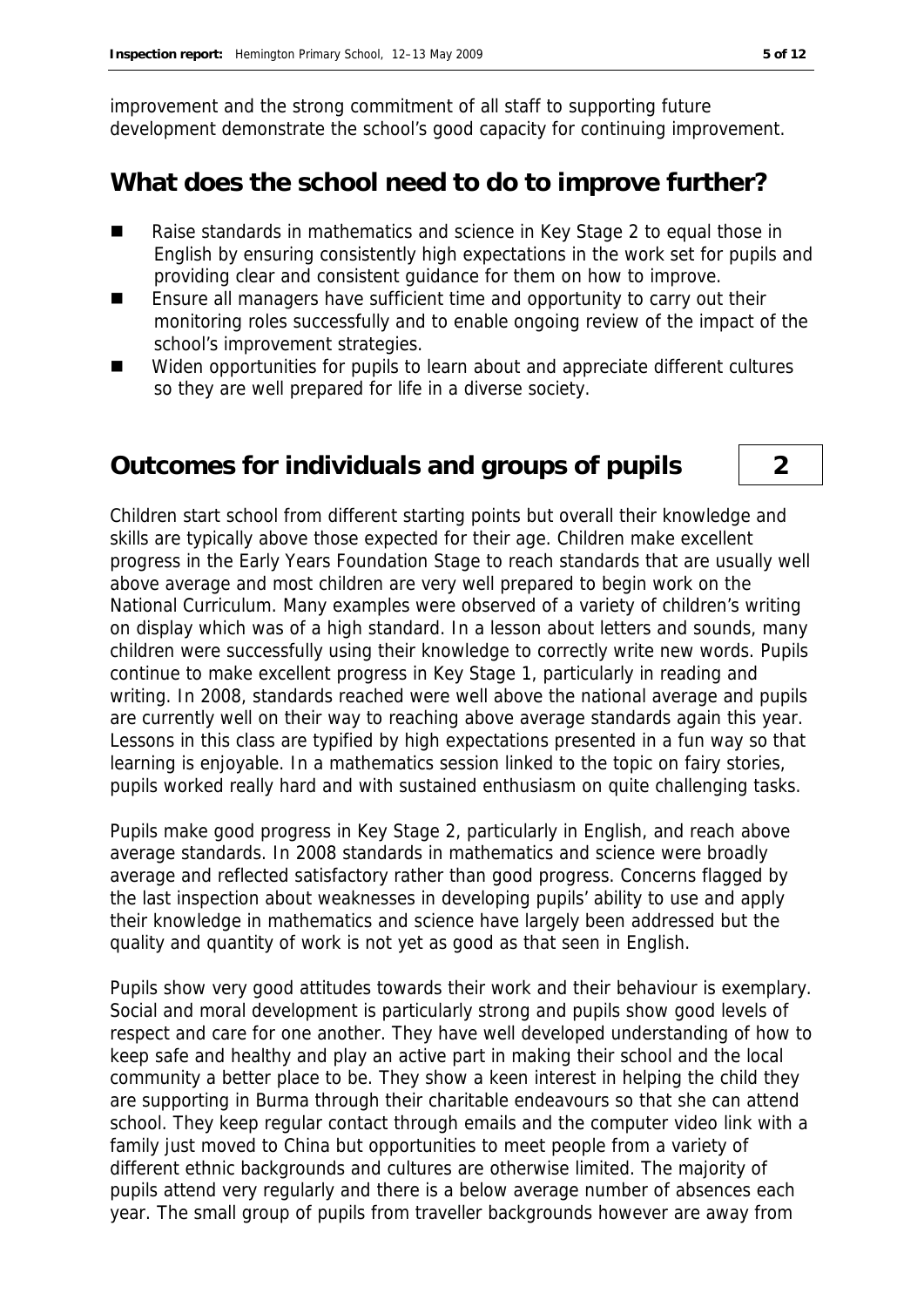improvement and the strong commitment of all staff to supporting future development demonstrate the school's good capacity for continuing improvement.

#### **What does the school need to do to improve further?**

- Raise standards in mathematics and science in Key Stage 2 to equal those in English by ensuring consistently high expectations in the work set for pupils and providing clear and consistent guidance for them on how to improve.
- Ensure all managers have sufficient time and opportunity to carry out their monitoring roles successfully and to enable ongoing review of the impact of the school's improvement strategies.
- Widen opportunities for pupils to learn about and appreciate different cultures so they are well prepared for life in a diverse society.

#### **Outcomes for individuals and groups of pupils 2**

Children start school from different starting points but overall their knowledge and skills are typically above those expected for their age. Children make excellent progress in the Early Years Foundation Stage to reach standards that are usually well above average and most children are very well prepared to begin work on the National Curriculum. Many examples were observed of a variety of children's writing on display which was of a high standard. In a lesson about letters and sounds, many children were successfully using their knowledge to correctly write new words. Pupils continue to make excellent progress in Key Stage 1, particularly in reading and writing. In 2008, standards reached were well above the national average and pupils are currently well on their way to reaching above average standards again this year. Lessons in this class are typified by high expectations presented in a fun way so that learning is enjoyable. In a mathematics session linked to the topic on fairy stories, pupils worked really hard and with sustained enthusiasm on quite challenging tasks.

Pupils make good progress in Key Stage 2, particularly in English, and reach above average standards. In 2008 standards in mathematics and science were broadly average and reflected satisfactory rather than good progress. Concerns flagged by the last inspection about weaknesses in developing pupils' ability to use and apply their knowledge in mathematics and science have largely been addressed but the quality and quantity of work is not yet as good as that seen in English.

Pupils show very good attitudes towards their work and their behaviour is exemplary. Social and moral development is particularly strong and pupils show good levels of respect and care for one another. They have well developed understanding of how to keep safe and healthy and play an active part in making their school and the local community a better place to be. They show a keen interest in helping the child they are supporting in Burma through their charitable endeavours so that she can attend school. They keep regular contact through emails and the computer video link with a family just moved to China but opportunities to meet people from a variety of different ethnic backgrounds and cultures are otherwise limited. The majority of pupils attend very regularly and there is a below average number of absences each year. The small group of pupils from traveller backgrounds however are away from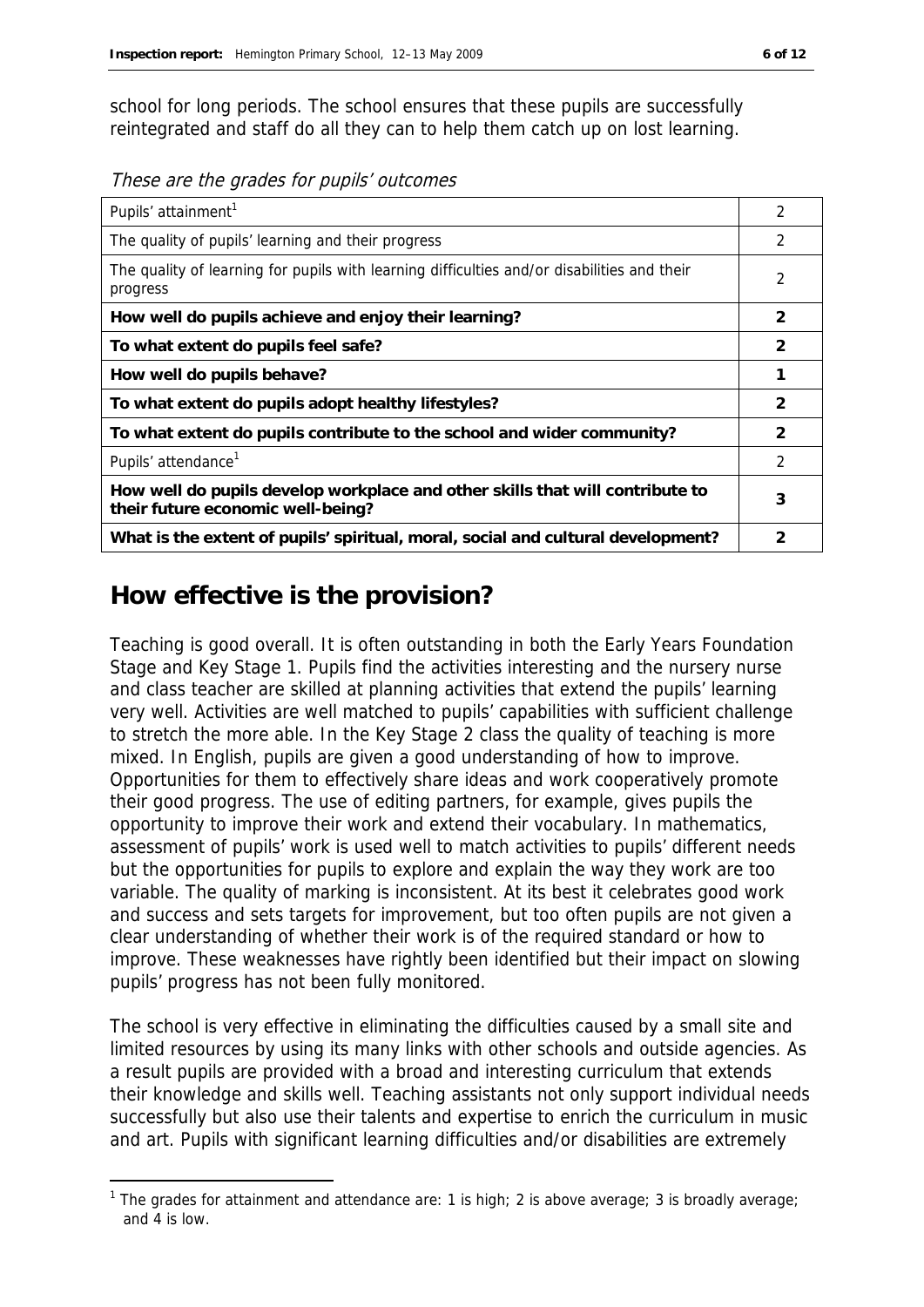school for long periods. The school ensures that these pupils are successfully reintegrated and staff do all they can to help them catch up on lost learning.

These are the grades for pupils' outcomes

| Pupils' attainment <sup>1</sup>                                                                                    | 2              |
|--------------------------------------------------------------------------------------------------------------------|----------------|
| The quality of pupils' learning and their progress                                                                 | 2              |
| The quality of learning for pupils with learning difficulties and/or disabilities and their<br>progress            | $\mathfrak{D}$ |
| How well do pupils achieve and enjoy their learning?                                                               | $\mathcal{P}$  |
| To what extent do pupils feel safe?                                                                                | $\mathcal{P}$  |
| How well do pupils behave?                                                                                         |                |
| To what extent do pupils adopt healthy lifestyles?                                                                 | $\mathcal{P}$  |
| To what extent do pupils contribute to the school and wider community?                                             | 2              |
| Pupils' attendance <sup>1</sup>                                                                                    | 2              |
| How well do pupils develop workplace and other skills that will contribute to<br>their future economic well-being? | 3              |
| What is the extent of pupils' spiritual, moral, social and cultural development?                                   | 2              |

### **How effective is the provision?**

-

Teaching is good overall. It is often outstanding in both the Early Years Foundation Stage and Key Stage 1. Pupils find the activities interesting and the nursery nurse and class teacher are skilled at planning activities that extend the pupils' learning very well. Activities are well matched to pupils' capabilities with sufficient challenge to stretch the more able. In the Key Stage 2 class the quality of teaching is more mixed. In English, pupils are given a good understanding of how to improve. Opportunities for them to effectively share ideas and work cooperatively promote their good progress. The use of editing partners, for example, gives pupils the opportunity to improve their work and extend their vocabulary. In mathematics, assessment of pupils' work is used well to match activities to pupils' different needs but the opportunities for pupils to explore and explain the way they work are too variable. The quality of marking is inconsistent. At its best it celebrates good work and success and sets targets for improvement, but too often pupils are not given a clear understanding of whether their work is of the required standard or how to improve. These weaknesses have rightly been identified but their impact on slowing pupils' progress has not been fully monitored.

The school is very effective in eliminating the difficulties caused by a small site and limited resources by using its many links with other schools and outside agencies. As a result pupils are provided with a broad and interesting curriculum that extends their knowledge and skills well. Teaching assistants not only support individual needs successfully but also use their talents and expertise to enrich the curriculum in music and art. Pupils with significant learning difficulties and/or disabilities are extremely

<sup>&</sup>lt;sup>1</sup> The grades for attainment and attendance are: 1 is high; 2 is above average; 3 is broadly average; and 4 is low.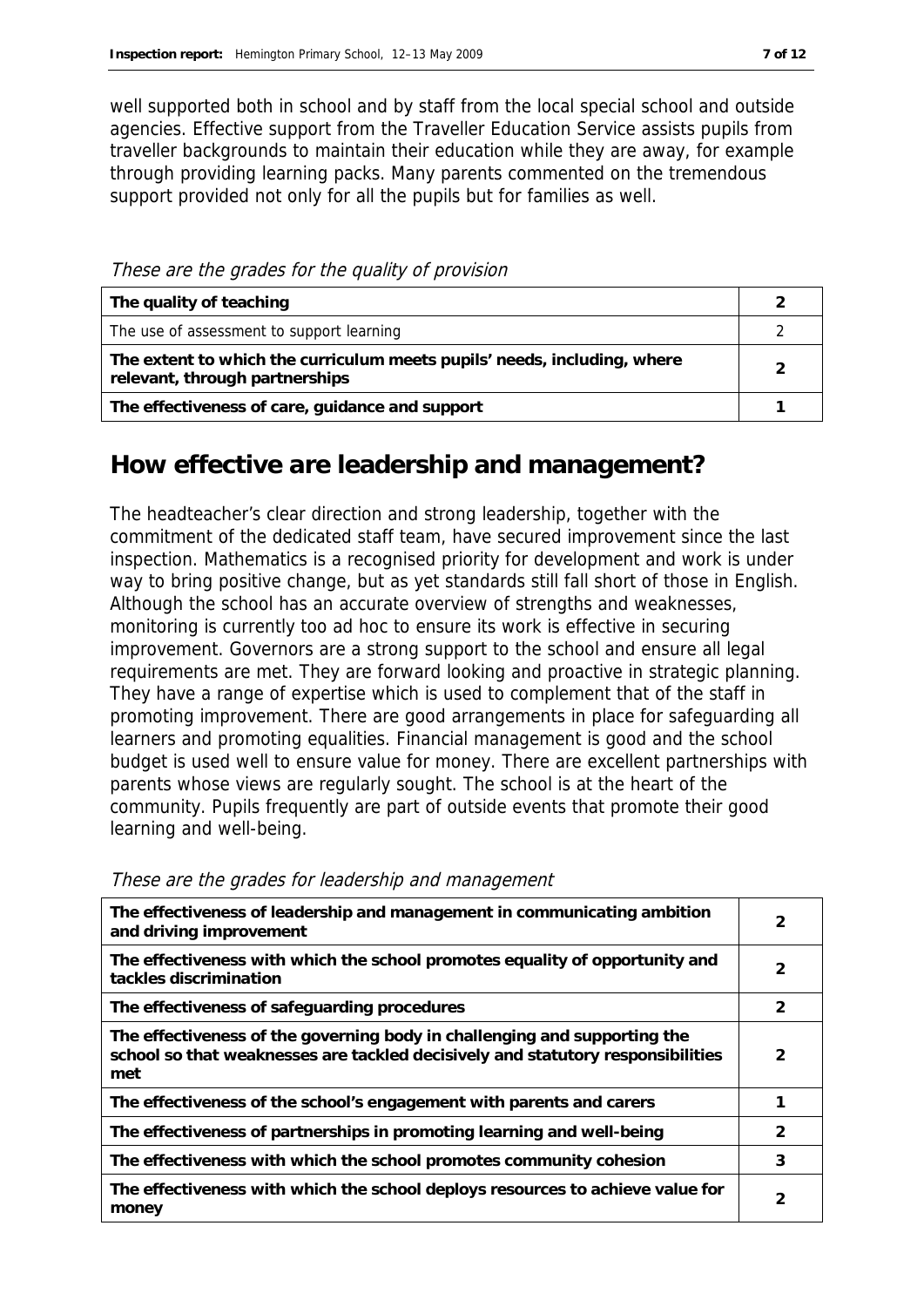well supported both in school and by staff from the local special school and outside agencies. Effective support from the Traveller Education Service assists pupils from traveller backgrounds to maintain their education while they are away, for example through providing learning packs. Many parents commented on the tremendous support provided not only for all the pupils but for families as well.

These are the grades for the quality of provision

| The quality of teaching                                                                                    |   |
|------------------------------------------------------------------------------------------------------------|---|
| The use of assessment to support learning                                                                  |   |
| The extent to which the curriculum meets pupils' needs, including, where<br>relevant, through partnerships | ာ |
| The effectiveness of care, guidance and support                                                            |   |

### **How effective are leadership and management?**

The headteacher's clear direction and strong leadership, together with the commitment of the dedicated staff team, have secured improvement since the last inspection. Mathematics is a recognised priority for development and work is under way to bring positive change, but as yet standards still fall short of those in English. Although the school has an accurate overview of strengths and weaknesses, monitoring is currently too ad hoc to ensure its work is effective in securing improvement. Governors are a strong support to the school and ensure all legal requirements are met. They are forward looking and proactive in strategic planning. They have a range of expertise which is used to complement that of the staff in promoting improvement. There are good arrangements in place for safeguarding all learners and promoting equalities. Financial management is good and the school budget is used well to ensure value for money. There are excellent partnerships with parents whose views are regularly sought. The school is at the heart of the community. Pupils frequently are part of outside events that promote their good learning and well-being.

| The effectiveness of leadership and management in communicating ambition<br>and driving improvement                                                                 | $\overline{2}$ |
|---------------------------------------------------------------------------------------------------------------------------------------------------------------------|----------------|
| The effectiveness with which the school promotes equality of opportunity and<br>tackles discrimination                                                              | 2              |
| The effectiveness of safeguarding procedures                                                                                                                        | 2              |
| The effectiveness of the governing body in challenging and supporting the<br>school so that weaknesses are tackled decisively and statutory responsibilities<br>met | $\mathcal{P}$  |
| The effectiveness of the school's engagement with parents and carers                                                                                                |                |
| The effectiveness of partnerships in promoting learning and well-being                                                                                              | 2              |
| The effectiveness with which the school promotes community cohesion                                                                                                 | 3              |
| The effectiveness with which the school deploys resources to achieve value for<br>money                                                                             | $\mathcal{P}$  |

These are the grades for leadership and management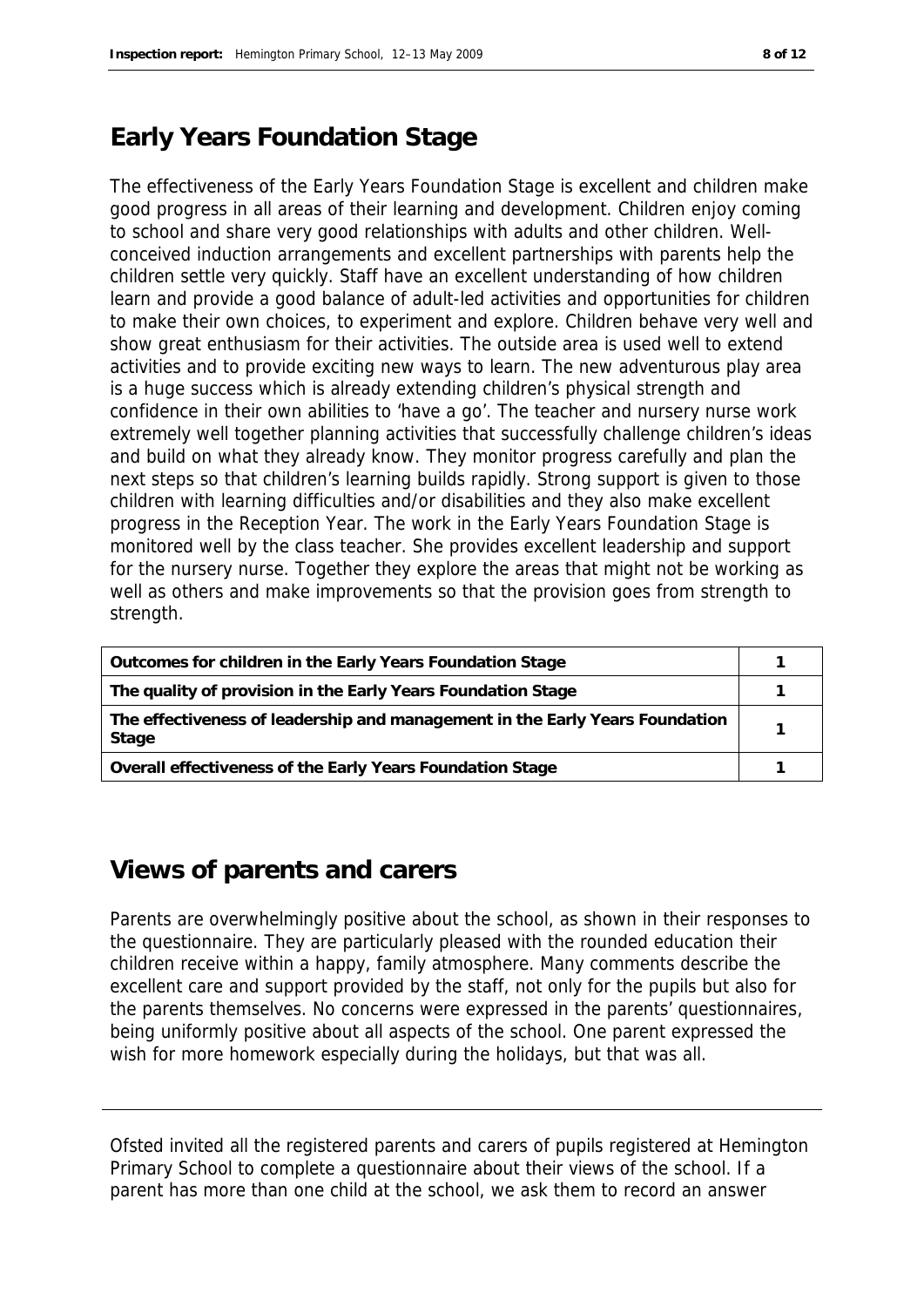## **Early Years Foundation Stage**

The effectiveness of the Early Years Foundation Stage is excellent and children make good progress in all areas of their learning and development. Children enjoy coming to school and share very good relationships with adults and other children. Wellconceived induction arrangements and excellent partnerships with parents help the children settle very quickly. Staff have an excellent understanding of how children learn and provide a good balance of adult-led activities and opportunities for children to make their own choices, to experiment and explore. Children behave very well and show great enthusiasm for their activities. The outside area is used well to extend activities and to provide exciting new ways to learn. The new adventurous play area is a huge success which is already extending children's physical strength and confidence in their own abilities to 'have a go'. The teacher and nursery nurse work extremely well together planning activities that successfully challenge children's ideas and build on what they already know. They monitor progress carefully and plan the next steps so that children's learning builds rapidly. Strong support is given to those children with learning difficulties and/or disabilities and they also make excellent progress in the Reception Year. The work in the Early Years Foundation Stage is monitored well by the class teacher. She provides excellent leadership and support for the nursery nurse. Together they explore the areas that might not be working as well as others and make improvements so that the provision goes from strength to strength.

| Outcomes for children in the Early Years Foundation Stage                             |  |
|---------------------------------------------------------------------------------------|--|
| The quality of provision in the Early Years Foundation Stage                          |  |
| The effectiveness of leadership and management in the Early Years Foundation<br>Stage |  |
| Overall effectiveness of the Early Years Foundation Stage                             |  |

#### **Views of parents and carers**

Parents are overwhelmingly positive about the school, as shown in their responses to the questionnaire. They are particularly pleased with the rounded education their children receive within a happy, family atmosphere. Many comments describe the excellent care and support provided by the staff, not only for the pupils but also for the parents themselves. No concerns were expressed in the parents' questionnaires, being uniformly positive about all aspects of the school. One parent expressed the wish for more homework especially during the holidays, but that was all.

Ofsted invited all the registered parents and carers of pupils registered at Hemington Primary School to complete a questionnaire about their views of the school. If a parent has more than one child at the school, we ask them to record an answer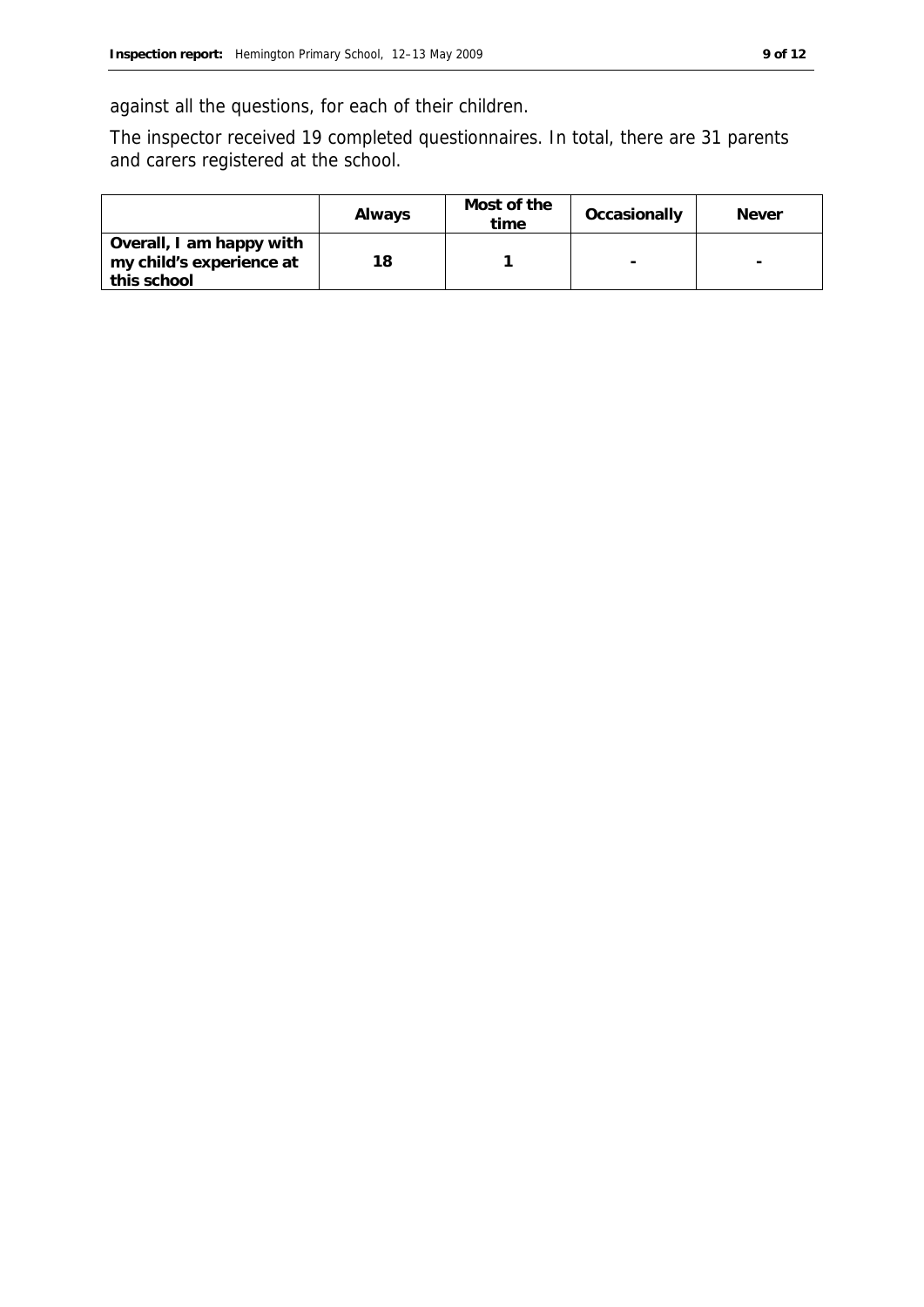against all the questions, for each of their children.

The inspector received 19 completed questionnaires. In total, there are 31 parents and carers registered at the school.

|                                                                     | Always | Most of the<br>time | Occasionally | <b>Never</b>             |
|---------------------------------------------------------------------|--------|---------------------|--------------|--------------------------|
| Overall, I am happy with<br>my child's experience at<br>this school | 18     |                     | -            | $\overline{\phantom{a}}$ |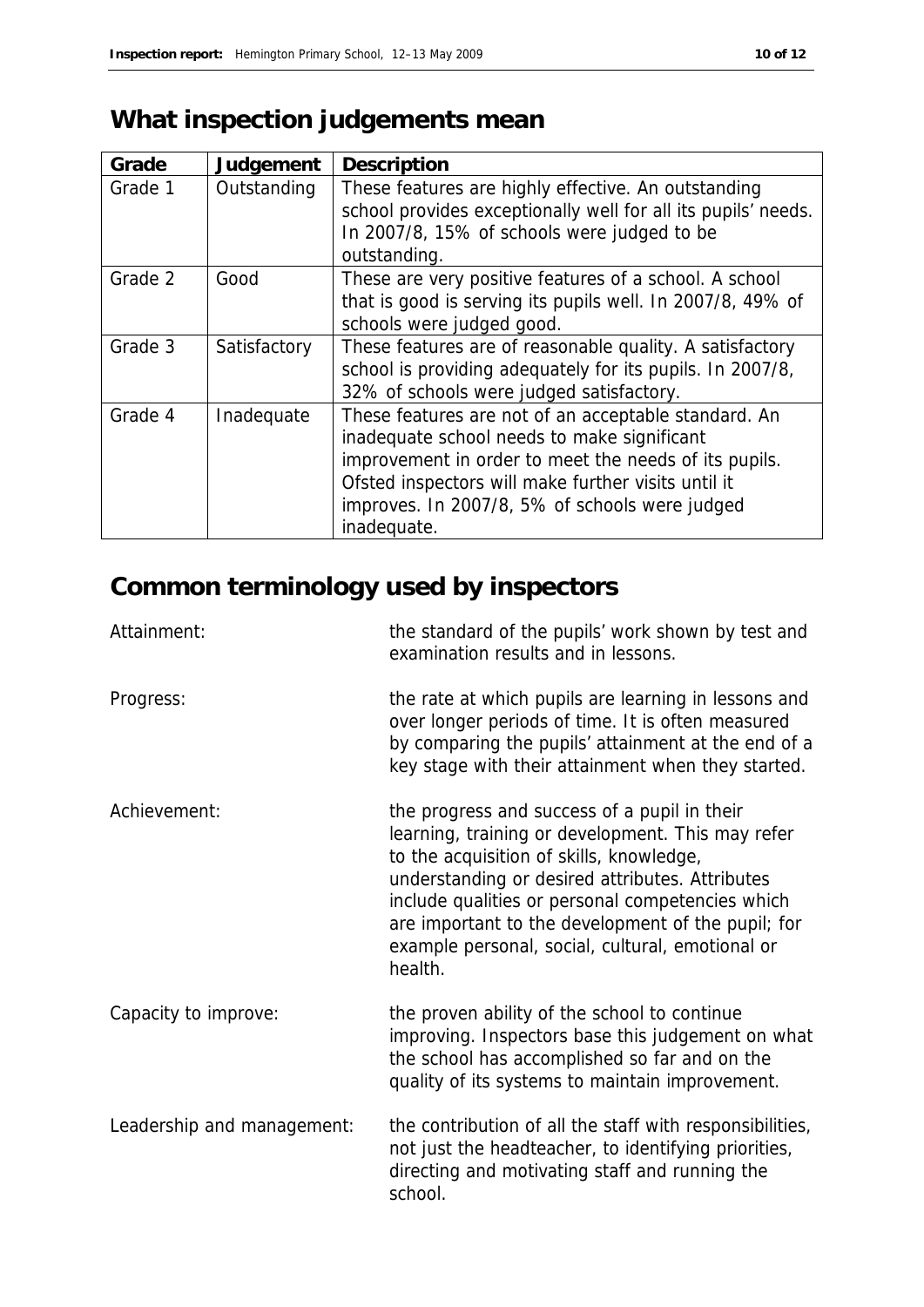# **What inspection judgements mean**

| Grade   | Judgement    | Description                                                                                                                                                                                                                                                                          |
|---------|--------------|--------------------------------------------------------------------------------------------------------------------------------------------------------------------------------------------------------------------------------------------------------------------------------------|
| Grade 1 | Outstanding  | These features are highly effective. An outstanding<br>school provides exceptionally well for all its pupils' needs.<br>In 2007/8, 15% of schools were judged to be<br>outstanding.                                                                                                  |
| Grade 2 | Good         | These are very positive features of a school. A school<br>that is good is serving its pupils well. In 2007/8, 49% of<br>schools were judged good.                                                                                                                                    |
| Grade 3 | Satisfactory | These features are of reasonable quality. A satisfactory<br>school is providing adequately for its pupils. In 2007/8,<br>32% of schools were judged satisfactory.                                                                                                                    |
| Grade 4 | Inadequate   | These features are not of an acceptable standard. An<br>inadequate school needs to make significant<br>improvement in order to meet the needs of its pupils.<br>Ofsted inspectors will make further visits until it<br>improves. In 2007/8, 5% of schools were judged<br>inadequate. |

## **Common terminology used by inspectors**

| Attainment:                | the standard of the pupils' work shown by test and<br>examination results and in lessons.                                                                                                                                                                                                                                                                                 |
|----------------------------|---------------------------------------------------------------------------------------------------------------------------------------------------------------------------------------------------------------------------------------------------------------------------------------------------------------------------------------------------------------------------|
| Progress:                  | the rate at which pupils are learning in lessons and<br>over longer periods of time. It is often measured<br>by comparing the pupils' attainment at the end of a<br>key stage with their attainment when they started.                                                                                                                                                    |
| Achievement:               | the progress and success of a pupil in their<br>learning, training or development. This may refer<br>to the acquisition of skills, knowledge,<br>understanding or desired attributes. Attributes<br>include qualities or personal competencies which<br>are important to the development of the pupil; for<br>example personal, social, cultural, emotional or<br>health. |
| Capacity to improve:       | the proven ability of the school to continue<br>improving. Inspectors base this judgement on what<br>the school has accomplished so far and on the<br>quality of its systems to maintain improvement.                                                                                                                                                                     |
| Leadership and management: | the contribution of all the staff with responsibilities,<br>not just the headteacher, to identifying priorities,<br>directing and motivating staff and running the<br>school.                                                                                                                                                                                             |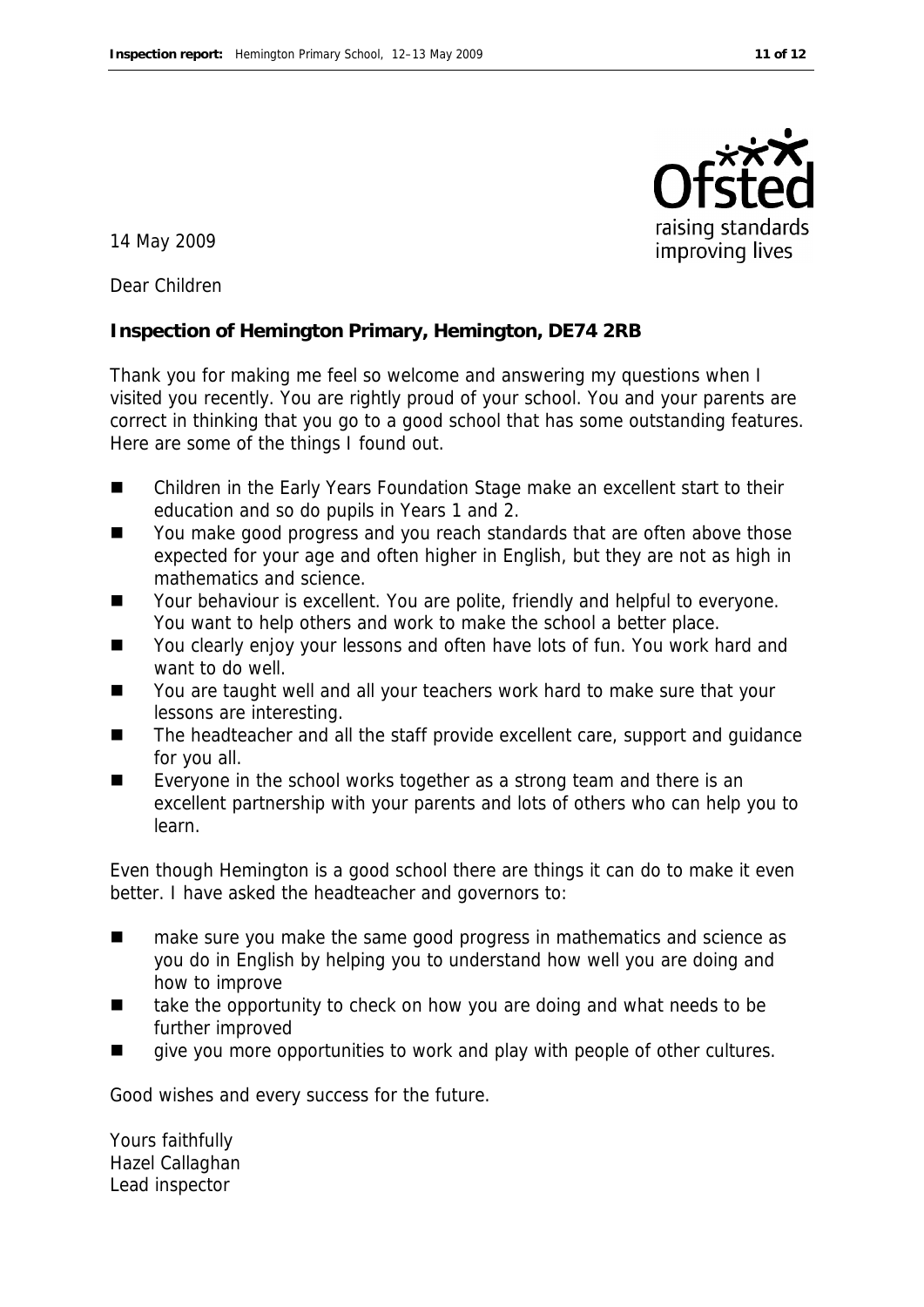

14 May 2009

Dear Children

**Inspection of Hemington Primary, Hemington, DE74 2RB**

Thank you for making me feel so welcome and answering my questions when I visited you recently. You are rightly proud of your school. You and your parents are correct in thinking that you go to a good school that has some outstanding features. Here are some of the things I found out.

- Children in the Early Years Foundation Stage make an excellent start to their education and so do pupils in Years 1 and 2.
- You make good progress and you reach standards that are often above those expected for your age and often higher in English, but they are not as high in mathematics and science.
- Your behaviour is excellent. You are polite, friendly and helpful to everyone. You want to help others and work to make the school a better place.
- You clearly enjoy your lessons and often have lots of fun. You work hard and want to do well.
- You are taught well and all your teachers work hard to make sure that your lessons are interesting.
- The headteacher and all the staff provide excellent care, support and guidance for you all.
- Everyone in the school works together as a strong team and there is an excellent partnership with your parents and lots of others who can help you to learn.

Even though Hemington is a good school there are things it can do to make it even better. I have asked the headteacher and governors to:

- make sure you make the same good progress in mathematics and science as you do in English by helping you to understand how well you are doing and how to improve
- take the opportunity to check on how you are doing and what needs to be further improved
- give you more opportunities to work and play with people of other cultures.

Good wishes and every success for the future.

Yours faithfully Hazel Callaghan Lead inspector